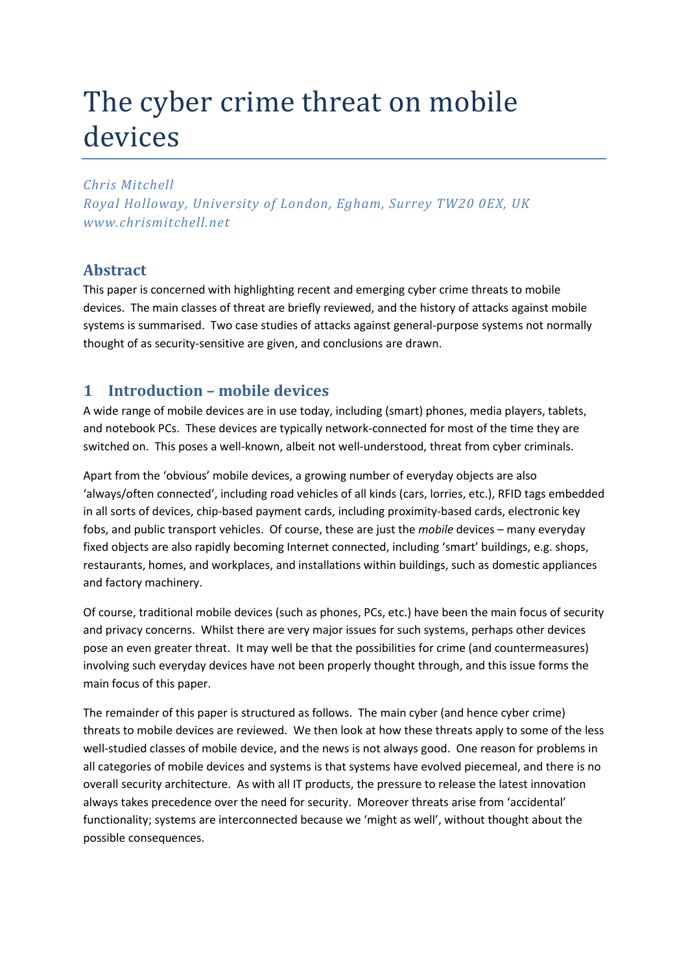# The cyber crime threat on mobile devices

*Chris Mitchell*

*Royal Holloway, University of London, Egham, Surrey TW20 0EX, UK www.chrismitchell.net*

## **Abstract**

This paper is concerned with highlighting recent and emerging cyber crime threats to mobile devices. The main classes of threat are briefly reviewed, and the history of attacks against mobile systems is summarised. Two case studies of attacks against general-purpose systems not normally thought of as security-sensitive are given, and conclusions are drawn.

## **1 Introduction – mobile devices**

A wide range of mobile devices are in use today, including (smart) phones, media players, tablets, and notebook PCs. These devices are typically network-connected for most of the time they are switched on. This poses a well-known, albeit not well-understood, threat from cyber criminals.

Apart from the 'obvious' mobile devices, a growing number of everyday objects are also 'always/often connected', including road vehicles of all kinds (cars, lorries, etc.), RFID tags embedded in all sorts of devices, chip-based payment cards, including proximity-based cards, electronic key fobs, and public transport vehicles. Of course, these are just the *mobile* devices – many everyday fixed objects are also rapidly becoming Internet connected, including 'smart' buildings, e.g. shops, restaurants, homes, and workplaces, and installations within buildings, such as domestic appliances and factory machinery.

Of course, traditional mobile devices (such as phones, PCs, etc.) have been the main focus of security and privacy concerns. Whilst there are very major issues for such systems, perhaps other devices pose an even greater threat. It may well be that the possibilities for crime (and countermeasures) involving such everyday devices have not been properly thought through, and this issue forms the main focus of this paper.

The remainder of this paper is structured as follows. The main cyber (and hence cyber crime) threats to mobile devices are reviewed. We then look at how these threats apply to some of the less well-studied classes of mobile device, and the news is not always good. One reason for problems in all categories of mobile devices and systems is that systems have evolved piecemeal, and there is no overall security architecture. As with all IT products, the pressure to release the latest innovation always takes precedence over the need for security. Moreover threats arise from 'accidental' functionality; systems are interconnected because we 'might as well', without thought about the possible consequences.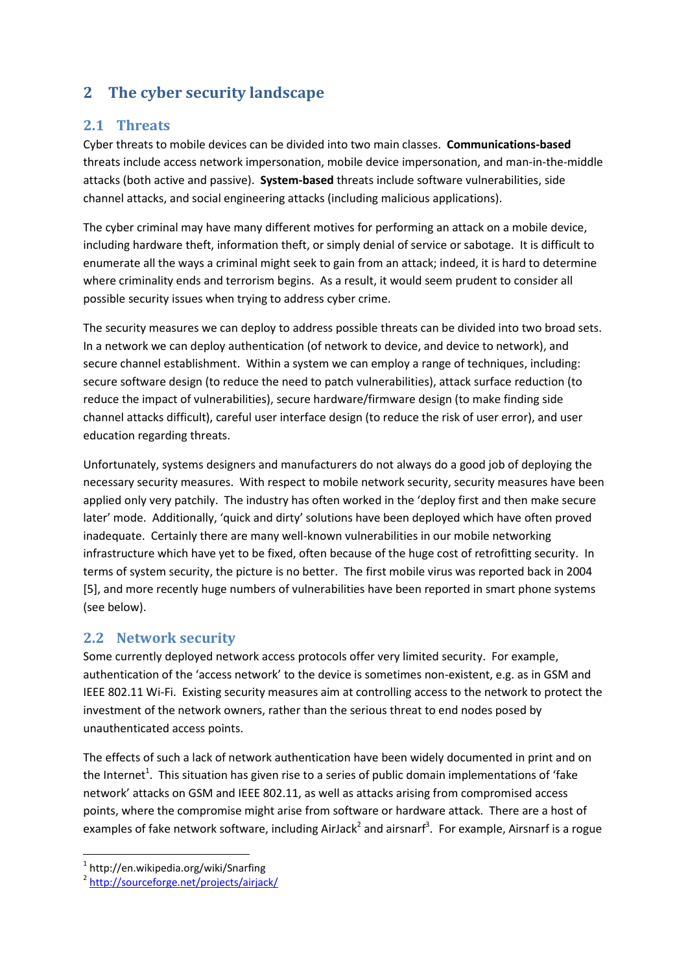## **2 The cyber security landscape**

## **2.1 Threats**

Cyber threats to mobile devices can be divided into two main classes. **Communications-based** threats include access network impersonation, mobile device impersonation, and man-in-the-middle attacks (both active and passive). **System-based** threats include software vulnerabilities, side channel attacks, and social engineering attacks (including malicious applications).

The cyber criminal may have many different motives for performing an attack on a mobile device, including hardware theft, information theft, or simply denial of service or sabotage. It is difficult to enumerate all the ways a criminal might seek to gain from an attack; indeed, it is hard to determine where criminality ends and terrorism begins. As a result, it would seem prudent to consider all possible security issues when trying to address cyber crime.

The security measures we can deploy to address possible threats can be divided into two broad sets. In a network we can deploy authentication (of network to device, and device to network), and secure channel establishment. Within a system we can employ a range of techniques, including: secure software design (to reduce the need to patch vulnerabilities), attack surface reduction (to reduce the impact of vulnerabilities), secure hardware/firmware design (to make finding side channel attacks difficult), careful user interface design (to reduce the risk of user error), and user education regarding threats.

Unfortunately, systems designers and manufacturers do not always do a good job of deploying the necessary security measures. With respect to mobile network security, security measures have been applied only very patchily. The industry has often worked in the 'deploy first and then make secure later' mode. Additionally, 'quick and dirty' solutions have been deployed which have often proved inadequate. Certainly there are many well-known vulnerabilities in our mobile networking infrastructure which have yet to be fixed, often because of the huge cost of retrofitting security. In terms of system security, the picture is no better. The first mobile virus was reported back in 2004 [\[5\],](#page-7-0) and more recently huge numbers of vulnerabilities have been reported in smart phone systems (see below).

## **2.2 Network security**

Some currently deployed network access protocols offer very limited security. For example, authentication of the 'access network' to the device is sometimes non-existent, e.g. as in GSM and IEEE 802.11 Wi-Fi. Existing security measures aim at controlling access to the network to protect the investment of the network owners, rather than the serious threat to end nodes posed by unauthenticated access points.

The effects of such a lack of network authentication have been widely documented in print and on the Internet<sup>1</sup>. This situation has given rise to a series of public domain implementations of 'fake network' attacks on GSM and IEEE 802.11, as well as attacks arising from compromised access points, where the compromise might arise from software or hardware attack. There are a host of examples of fake network software, including AirJack<sup>2</sup> and airsnarf<sup>3</sup>. For example, Airsnarf is a rogue

1

<sup>1</sup> http://en.wikipedia.org/wiki/Snarfing

<sup>&</sup>lt;sup>2</sup> <http://sourceforge.net/projects/airjack/>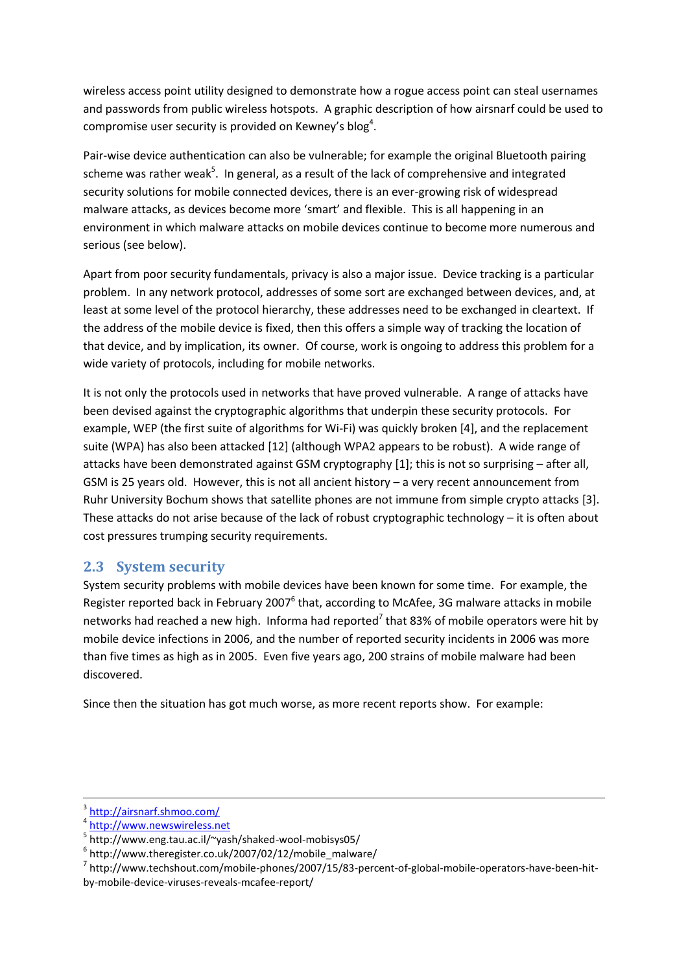wireless access point utility designed to demonstrate how a rogue access point can steal usernames and passwords from public wireless hotspots. A graphic description of how airsnarf could be used to compromise user security is provided on Kewney's blog<sup>4</sup>.

Pair-wise device authentication can also be vulnerable; for example the original Bluetooth pairing scheme was rather weak<sup>5</sup>. In general, as a result of the lack of comprehensive and integrated security solutions for mobile connected devices, there is an ever-growing risk of widespread malware attacks, as devices become more 'smart' and flexible. This is all happening in an environment in which malware attacks on mobile devices continue to become more numerous and serious (see below).

Apart from poor security fundamentals, privacy is also a major issue. Device tracking is a particular problem. In any network protocol, addresses of some sort are exchanged between devices, and, at least at some level of the protocol hierarchy, these addresses need to be exchanged in cleartext. If the address of the mobile device is fixed, then this offers a simple way of tracking the location of that device, and by implication, its owner. Of course, work is ongoing to address this problem for a wide variety of protocols, including for mobile networks.

It is not only the protocols used in networks that have proved vulnerable. A range of attacks have been devised against the cryptographic algorithms that underpin these security protocols. For example, WEP (the first suite of algorithms for Wi-Fi) was quickly broken [\[4\],](#page-7-1) and the replacement suite (WPA) has also been attacked [\[12\]](#page-7-2) (although WPA2 appears to be robust). A wide range of attacks have been demonstrated against GSM cryptography [\[1\];](#page-7-3) this is not so surprising – after all, GSM is 25 years old. However, this is not all ancient history – a very recent announcement from Ruhr University Bochum shows that satellite phones are not immune from simple crypto attacks [\[3\].](#page-7-4) These attacks do not arise because of the lack of robust cryptographic technology – it is often about cost pressures trumping security requirements.

## **2.3 System security**

System security problems with mobile devices have been known for some time. For example, the Register reported back in February 2007<sup>6</sup> that, according to McAfee, 3G malware attacks in mobile networks had reached a new high. Informa had reported<sup>7</sup> that 83% of mobile operators were hit by mobile device infections in 2006, and the number of reported security incidents in 2006 was more than five times as high as in 2005. Even five years ago, 200 strains of mobile malware had been discovered.

Since then the situation has got much worse, as more recent reports show. For example:

**.** 

<sup>3</sup> <http://airsnarf.shmoo.com/>

<sup>4</sup> [http://www.newswireless.net](http://www.newswireless.net/)

<sup>5</sup> http://www.eng.tau.ac.il/~yash/shaked-wool-mobisys05/

 $6$  http://www.theregister.co.uk/2007/02/12/mobile\_malware/

<sup>&</sup>lt;sup>7</sup> http://www.techshout.com/mobile-phones/2007/15/83-percent-of-global-mobile-operators-have-been-hitby-mobile-device-viruses-reveals-mcafee-report/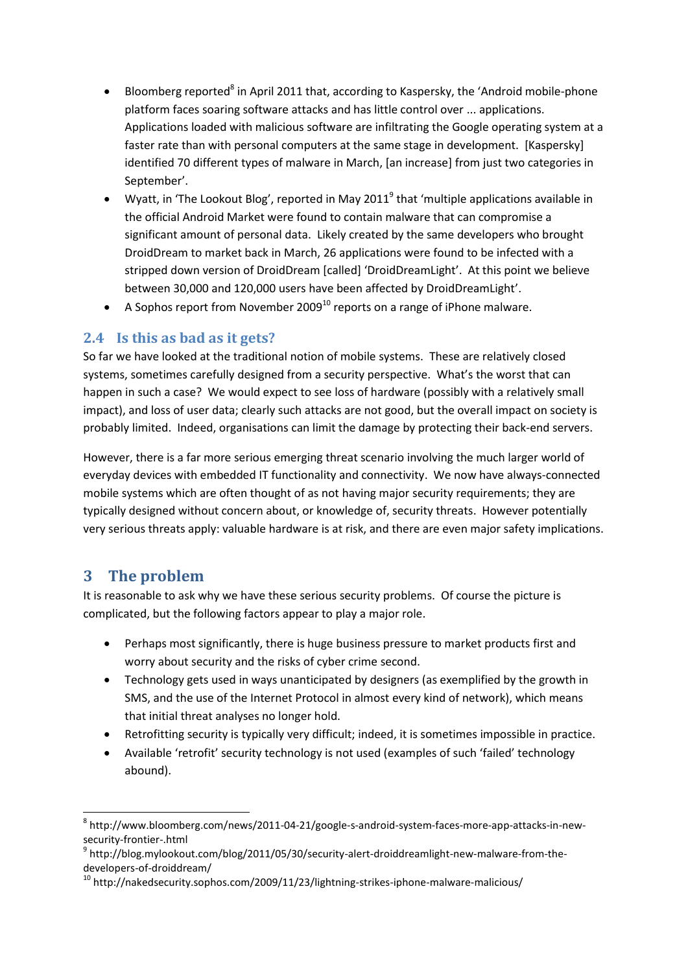- Bloomberg reported<sup>8</sup> in April 2011 that, according to Kaspersky, the 'Android mobile-phone platform faces soaring software attacks and has little control over ... applications. Applications loaded with malicious software are infiltrating the Google operating system at a faster rate than with personal computers at the same stage in development. [Kaspersky] identified 70 different types of malware in March, [an increase] from just two categories in September'.
- Wyatt, in 'The Lookout Blog', reported in May 2011<sup>9</sup> that 'multiple applications available in the official Android Market were found to contain malware that can compromise a significant amount of personal data. Likely created by the same developers who brought DroidDream to market back in March, 26 applications were found to be infected with a stripped down version of DroidDream [called] 'DroidDreamLight'. At this point we believe between 30,000 and 120,000 users have been affected by DroidDreamLight'.
- A Sophos report from November 2009 $^{10}$  reports on a range of iPhone malware.

## **2.4 Is this as bad as it gets?**

So far we have looked at the traditional notion of mobile systems. These are relatively closed systems, sometimes carefully designed from a security perspective. What's the worst that can happen in such a case? We would expect to see loss of hardware (possibly with a relatively small impact), and loss of user data; clearly such attacks are not good, but the overall impact on society is probably limited. Indeed, organisations can limit the damage by protecting their back-end servers.

However, there is a far more serious emerging threat scenario involving the much larger world of everyday devices with embedded IT functionality and connectivity. We now have always-connected mobile systems which are often thought of as not having major security requirements; they are typically designed without concern about, or knowledge of, security threats. However potentially very serious threats apply: valuable hardware is at risk, and there are even major safety implications.

## **3 The problem**

 $\overline{\phantom{a}}$ 

It is reasonable to ask why we have these serious security problems. Of course the picture is complicated, but the following factors appear to play a major role.

- Perhaps most significantly, there is huge business pressure to market products first and worry about security and the risks of cyber crime second.
- Technology gets used in ways unanticipated by designers (as exemplified by the growth in SMS, and the use of the Internet Protocol in almost every kind of network), which means that initial threat analyses no longer hold.
- Retrofitting security is typically very difficult; indeed, it is sometimes impossible in practice.
- Available 'retrofit' security technology is not used (examples of such 'failed' technology abound).

<sup>8</sup> http://www.bloomberg.com/news/2011-04-21/google-s-android-system-faces-more-app-attacks-in-newsecurity-frontier-.html

<sup>&</sup>lt;sup>9</sup> http://blog.mylookout.com/blog/2011/05/30/security-alert-droiddreamlight-new-malware-from-thedevelopers-of-droiddream/

 $10$  http://nakedsecurity.sophos.com/2009/11/23/lightning-strikes-iphone-malware-malicious/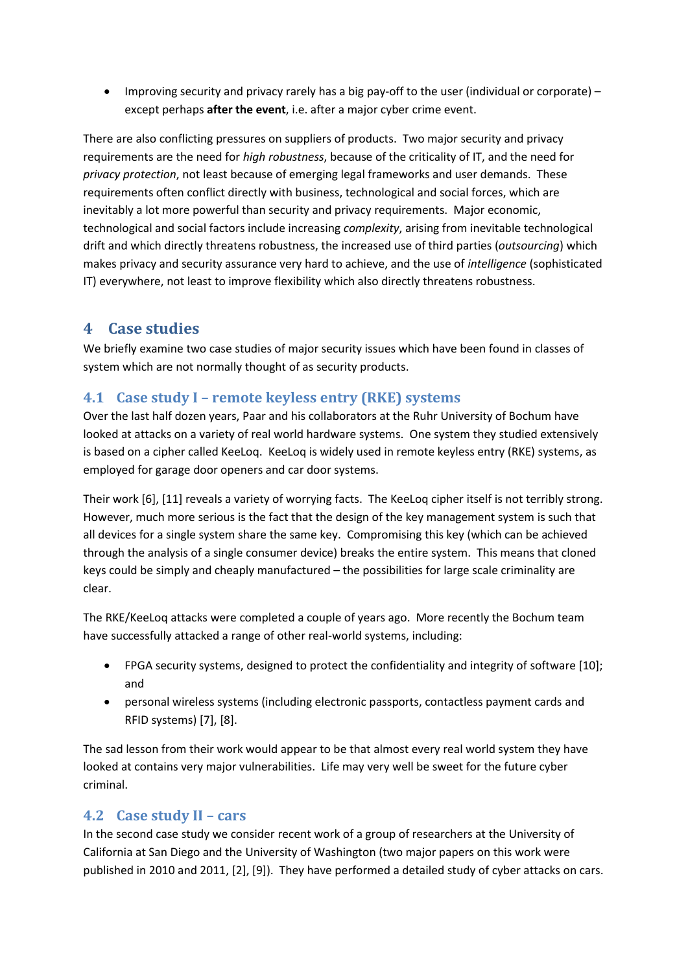Improving security and privacy rarely has a big pay-off to the user (individual or corporate) – except perhaps **after the event**, i.e. after a major cyber crime event.

There are also conflicting pressures on suppliers of products. Two major security and privacy requirements are the need for *high robustness*, because of the criticality of IT, and the need for *privacy protection*, not least because of emerging legal frameworks and user demands. These requirements often conflict directly with business, technological and social forces, which are inevitably a lot more powerful than security and privacy requirements. Major economic, technological and social factors include increasing *complexity*, arising from inevitable technological drift and which directly threatens robustness, the increased use of third parties (*outsourcing*) which makes privacy and security assurance very hard to achieve, and the use of *intelligence* (sophisticated IT) everywhere, not least to improve flexibility which also directly threatens robustness.

## **4 Case studies**

We briefly examine two case studies of major security issues which have been found in classes of system which are not normally thought of as security products.

## **4.1 Case study I – remote keyless entry (RKE) systems**

Over the last half dozen years, Paar and his collaborators at the Ruhr University of Bochum have looked at attacks on a variety of real world hardware systems. One system they studied extensively is based on a cipher called KeeLoq. KeeLoq is widely used in remote keyless entry (RKE) systems, as employed for garage door openers and car door systems.

Their work [\[6\],](#page-7-5) [\[11\]](#page-7-6) reveals a variety of worrying facts. The KeeLoq cipher itself is not terribly strong. However, much more serious is the fact that the design of the key management system is such that all devices for a single system share the same key. Compromising this key (which can be achieved through the analysis of a single consumer device) breaks the entire system. This means that cloned keys could be simply and cheaply manufactured – the possibilities for large scale criminality are clear.

The RKE/KeeLoq attacks were completed a couple of years ago. More recently the Bochum team have successfully attacked a range of other real-world systems, including:

- FPGA security systems, designed to protect the confidentiality and integrity of software [\[10\];](#page-7-7) and
- personal wireless systems (including electronic passports, contactless payment cards and RFID systems) [\[7\],](#page-7-8) [\[8\].](#page-7-9)

The sad lesson from their work would appear to be that almost every real world system they have looked at contains very major vulnerabilities. Life may very well be sweet for the future cyber criminal.

## **4.2 Case study II – cars**

In the second case study we consider recent work of a group of researchers at the University of California at San Diego and the University of Washington (two major papers on this work were published in 2010 and 2011, [\[2\],](#page-7-10) [\[9\]\)](#page-7-11). They have performed a detailed study of cyber attacks on cars.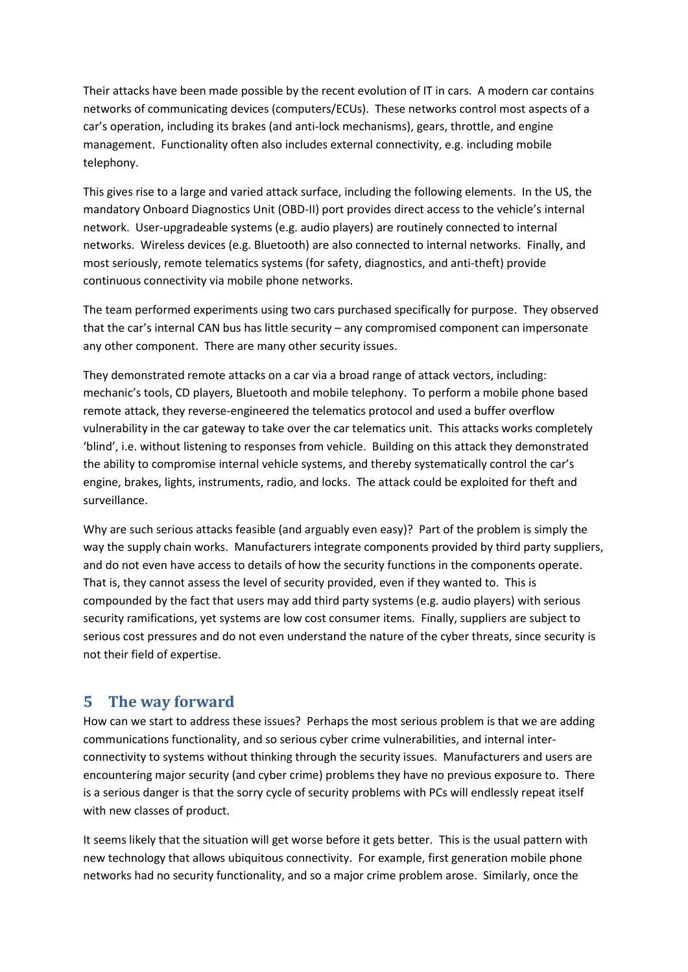Their attacks have been made possible by the recent evolution of IT in cars. A modern car contains networks of communicating devices (computers/ECUs). These networks control most aspects of a car's operation, including its brakes (and anti-lock mechanisms), gears, throttle, and engine management. Functionality often also includes external connectivity, e.g. including mobile telephony.

This gives rise to a large and varied attack surface, including the following elements. In the US, the mandatory Onboard Diagnostics Unit (OBD-II) port provides direct access to the vehicle's internal network. User-upgradeable systems (e.g. audio players) are routinely connected to internal networks. Wireless devices (e.g. Bluetooth) are also connected to internal networks. Finally, and most seriously, remote telematics systems (for safety, diagnostics, and anti-theft) provide continuous connectivity via mobile phone networks.

The team performed experiments using two cars purchased specifically for purpose. They observed that the car's internal CAN bus has little security – any compromised component can impersonate any other component. There are many other security issues.

They demonstrated remote attacks on a car via a broad range of attack vectors, including: mechanic's tools, CD players, Bluetooth and mobile telephony. To perform a mobile phone based remote attack, they reverse-engineered the telematics protocol and used a buffer overflow vulnerability in the car gateway to take over the car telematics unit. This attacks works completely 'blind', i.e. without listening to responses from vehicle. Building on this attack they demonstrated the ability to compromise internal vehicle systems, and thereby systematically control the car's engine, brakes, lights, instruments, radio, and locks. The attack could be exploited for theft and surveillance.

Why are such serious attacks feasible (and arguably even easy)? Part of the problem is simply the way the supply chain works. Manufacturers integrate components provided by third party suppliers, and do not even have access to details of how the security functions in the components operate. That is, they cannot assess the level of security provided, even if they wanted to. This is compounded by the fact that users may add third party systems (e.g. audio players) with serious security ramifications, yet systems are low cost consumer items. Finally, suppliers are subject to serious cost pressures and do not even understand the nature of the cyber threats, since security is not their field of expertise.

## **5 The way forward**

How can we start to address these issues? Perhaps the most serious problem is that we are adding communications functionality, and so serious cyber crime vulnerabilities, and internal interconnectivity to systems without thinking through the security issues. Manufacturers and users are encountering major security (and cyber crime) problems they have no previous exposure to. There is a serious danger is that the sorry cycle of security problems with PCs will endlessly repeat itself with new classes of product.

It seems likely that the situation will get worse before it gets better. This is the usual pattern with new technology that allows ubiquitous connectivity. For example, first generation mobile phone networks had no security functionality, and so a major crime problem arose. Similarly, once the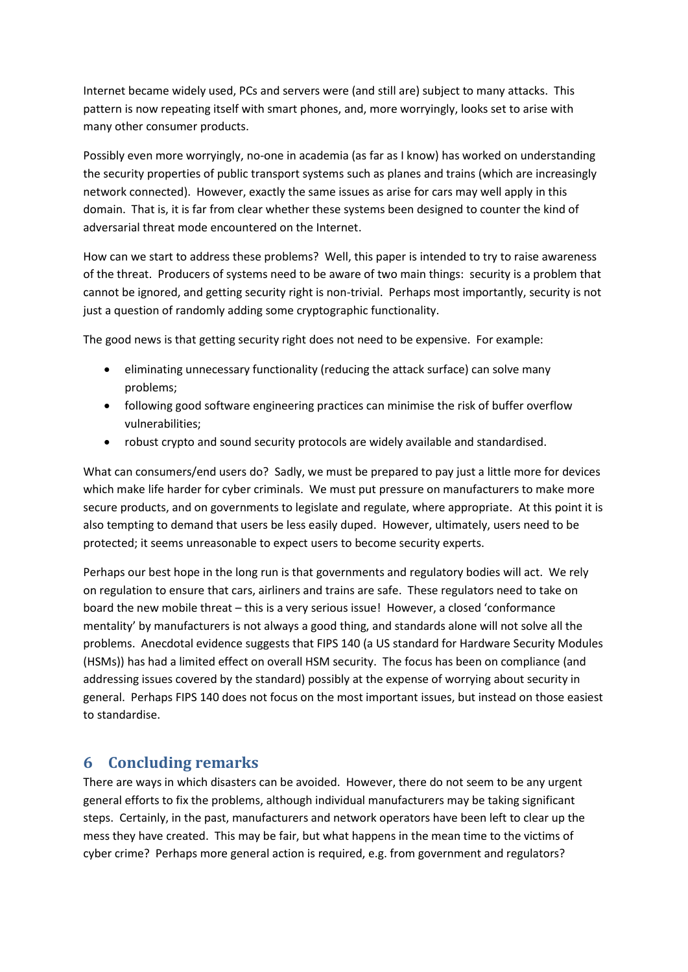Internet became widely used, PCs and servers were (and still are) subject to many attacks. This pattern is now repeating itself with smart phones, and, more worryingly, looks set to arise with many other consumer products.

Possibly even more worryingly, no-one in academia (as far as I know) has worked on understanding the security properties of public transport systems such as planes and trains (which are increasingly network connected). However, exactly the same issues as arise for cars may well apply in this domain. That is, it is far from clear whether these systems been designed to counter the kind of adversarial threat mode encountered on the Internet.

How can we start to address these problems? Well, this paper is intended to try to raise awareness of the threat. Producers of systems need to be aware of two main things: security is a problem that cannot be ignored, and getting security right is non-trivial. Perhaps most importantly, security is not just a question of randomly adding some cryptographic functionality.

The good news is that getting security right does not need to be expensive. For example:

- eliminating unnecessary functionality (reducing the attack surface) can solve many problems;
- following good software engineering practices can minimise the risk of buffer overflow vulnerabilities;
- robust crypto and sound security protocols are widely available and standardised.

What can consumers/end users do? Sadly, we must be prepared to pay just a little more for devices which make life harder for cyber criminals. We must put pressure on manufacturers to make more secure products, and on governments to legislate and regulate, where appropriate. At this point it is also tempting to demand that users be less easily duped. However, ultimately, users need to be protected; it seems unreasonable to expect users to become security experts.

Perhaps our best hope in the long run is that governments and regulatory bodies will act. We rely on regulation to ensure that cars, airliners and trains are safe. These regulators need to take on board the new mobile threat – this is a very serious issue! However, a closed 'conformance mentality' by manufacturers is not always a good thing, and standards alone will not solve all the problems. Anecdotal evidence suggests that FIPS 140 (a US standard for Hardware Security Modules (HSMs)) has had a limited effect on overall HSM security. The focus has been on compliance (and addressing issues covered by the standard) possibly at the expense of worrying about security in general. Perhaps FIPS 140 does not focus on the most important issues, but instead on those easiest to standardise.

## **6 Concluding remarks**

There are ways in which disasters can be avoided. However, there do not seem to be any urgent general efforts to fix the problems, although individual manufacturers may be taking significant steps. Certainly, in the past, manufacturers and network operators have been left to clear up the mess they have created. This may be fair, but what happens in the mean time to the victims of cyber crime? Perhaps more general action is required, e.g. from government and regulators?